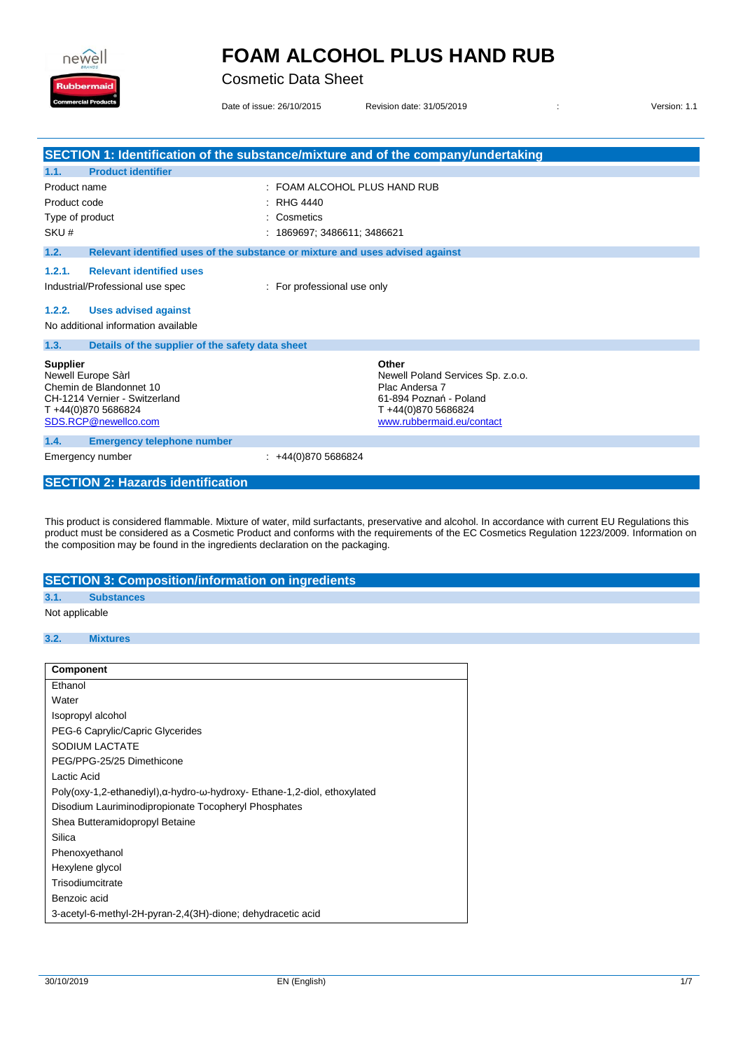

Cosmetic Data Sheet

Date of issue: 26/10/2015 Revision date: 31/05/2019 : Version: 1.1

|                                                                                                                                                 | SECTION 1: Identification of the substance/mixture and of the company/undertaking                                                         |  |
|-------------------------------------------------------------------------------------------------------------------------------------------------|-------------------------------------------------------------------------------------------------------------------------------------------|--|
| <b>Product identifier</b><br>1.1.                                                                                                               |                                                                                                                                           |  |
| Product name                                                                                                                                    | : FOAM ALCOHOL PLUS HAND RUB                                                                                                              |  |
| Product code                                                                                                                                    | <b>RHG 4440</b>                                                                                                                           |  |
| Type of product                                                                                                                                 | Cosmetics                                                                                                                                 |  |
| SKU#                                                                                                                                            | : 1869697; 3486611; 3486621                                                                                                               |  |
| 1.2.                                                                                                                                            | Relevant identified uses of the substance or mixture and uses advised against                                                             |  |
| <b>Relevant identified uses</b><br>1.2.1.                                                                                                       |                                                                                                                                           |  |
| Industrial/Professional use spec                                                                                                                | : For professional use only                                                                                                               |  |
| <b>Uses advised against</b><br>1.2.2.                                                                                                           |                                                                                                                                           |  |
| No additional information available                                                                                                             |                                                                                                                                           |  |
| 1.3.<br>Details of the supplier of the safety data sheet                                                                                        |                                                                                                                                           |  |
| <b>Supplier</b><br>Newell Europe Sàrl<br>Chemin de Blandonnet 10<br>CH-1214 Vernier - Switzerland<br>T+44(0)870 5686824<br>SDS.RCP@newellco.com | Other<br>Newell Poland Services Sp. z.o.o.<br>Plac Andersa 7<br>61-894 Poznań - Poland<br>T+44(0)870 5686824<br>www.rubbermaid.eu/contact |  |
| 1.4.<br><b>Emergency telephone number</b><br>Emergency number                                                                                   | +44(0)870 5686824                                                                                                                         |  |
|                                                                                                                                                 |                                                                                                                                           |  |

**SECTION 2: Hazards identification**

This product is considered flammable. Mixture of water, mild surfactants, preservative and alcohol. In accordance with current EU Regulations this product must be considered as a Cosmetic Product and conforms with the requirements of the EC Cosmetics Regulation 1223/2009. Information on the composition may be found in the ingredients declaration on the packaging.

### **SECTION 3: Composition/information on ingredients**

**3.1. Substances**

#### Not applicable

#### **3.2. Mixtures**

| <b>Component</b>                                                         |
|--------------------------------------------------------------------------|
| Ethanol                                                                  |
| Water                                                                    |
| Isopropyl alcohol                                                        |
| PEG-6 Caprylic/Capric Glycerides                                         |
| <b>SODIUM LACTATE</b>                                                    |
| PEG/PPG-25/25 Dimethicone                                                |
| Lactic Acid                                                              |
| Poly(oxy-1,2-ethanediyl),α-hydro-ω-hydroxy- Ethane-1,2-diol, ethoxylated |
| Disodium Lauriminodipropionate Tocopheryl Phosphates                     |
| Shea Butteramidopropyl Betaine                                           |
| Silica                                                                   |
| Phenoxyethanol                                                           |
| Hexylene glycol                                                          |
| Trisodiumcitrate                                                         |
| Benzoic acid                                                             |
| 3-acetyl-6-methyl-2H-pyran-2,4(3H)-dione; dehydracetic acid              |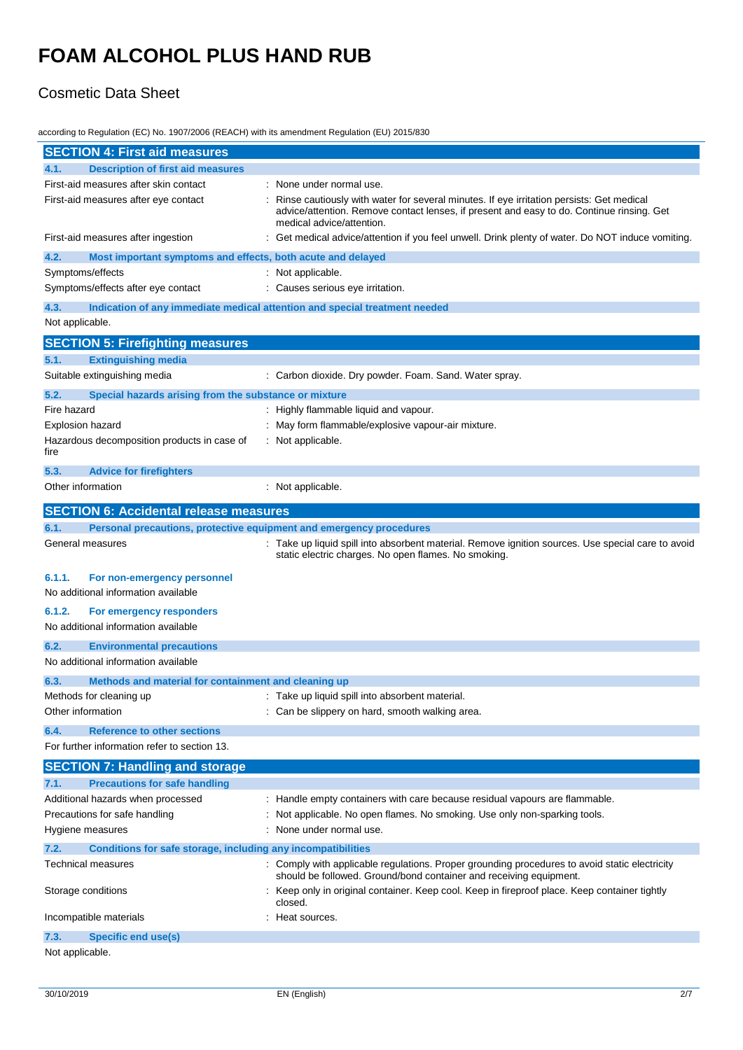### Cosmetic Data Sheet

according to Regulation (EC) No. 1907/2006 (REACH) with its amendment Regulation (EU) 2015/830

| <b>SECTION 4: First aid measures</b>                                               |                                                                                                                                                                                                                    |
|------------------------------------------------------------------------------------|--------------------------------------------------------------------------------------------------------------------------------------------------------------------------------------------------------------------|
| <b>Description of first aid measures</b><br>4.1.                                   |                                                                                                                                                                                                                    |
| First-aid measures after skin contact                                              | None under normal use.                                                                                                                                                                                             |
| First-aid measures after eye contact                                               | Rinse cautiously with water for several minutes. If eye irritation persists: Get medical<br>advice/attention. Remove contact lenses, if present and easy to do. Continue rinsing. Get<br>medical advice/attention. |
| First-aid measures after ingestion                                                 | Get medical advice/attention if you feel unwell. Drink plenty of water. Do NOT induce vomiting.                                                                                                                    |
| 4.2.<br>Most important symptoms and effects, both acute and delayed                |                                                                                                                                                                                                                    |
| Symptoms/effects                                                                   | Not applicable.                                                                                                                                                                                                    |
| Symptoms/effects after eye contact                                                 | Causes serious eye irritation.                                                                                                                                                                                     |
| 4.3.<br>Indication of any immediate medical attention and special treatment needed |                                                                                                                                                                                                                    |
| Not applicable.                                                                    |                                                                                                                                                                                                                    |
| <b>SECTION 5: Firefighting measures</b>                                            |                                                                                                                                                                                                                    |
| <b>Extinguishing media</b><br>5.1.                                                 |                                                                                                                                                                                                                    |
| Suitable extinguishing media                                                       | : Carbon dioxide. Dry powder. Foam. Sand. Water spray.                                                                                                                                                             |
| 5.2.<br>Special hazards arising from the substance or mixture                      |                                                                                                                                                                                                                    |
| Fire hazard                                                                        | Highly flammable liquid and vapour.                                                                                                                                                                                |
| <b>Explosion hazard</b>                                                            | May form flammable/explosive vapour-air mixture.                                                                                                                                                                   |
| Hazardous decomposition products in case of<br>fire                                | Not applicable.                                                                                                                                                                                                    |
| 5.3.<br><b>Advice for firefighters</b>                                             |                                                                                                                                                                                                                    |
| Other information                                                                  | : Not applicable.                                                                                                                                                                                                  |
| <b>SECTION 6: Accidental release measures</b>                                      |                                                                                                                                                                                                                    |
| 6.1.<br>Personal precautions, protective equipment and emergency procedures        |                                                                                                                                                                                                                    |
| General measures                                                                   | Take up liquid spill into absorbent material. Remove ignition sources. Use special care to avoid<br>static electric charges. No open flames. No smoking.                                                           |
| 6.1.1.<br>For non-emergency personnel<br>No additional information available       |                                                                                                                                                                                                                    |
| 6.1.2.<br>For emergency responders<br>No additional information available          |                                                                                                                                                                                                                    |
| 6.2.<br><b>Environmental precautions</b>                                           |                                                                                                                                                                                                                    |
| No additional information available                                                |                                                                                                                                                                                                                    |
| 6.3.<br>Methods and material for containment and cleaning up                       |                                                                                                                                                                                                                    |
| Methods for cleaning up                                                            | : Take up liquid spill into absorbent material                                                                                                                                                                     |
| Other information                                                                  | : Can be slippery on hard, smooth walking area.                                                                                                                                                                    |
| 6.4.<br><b>Reference to other sections</b>                                         |                                                                                                                                                                                                                    |
| For further information refer to section 13.                                       |                                                                                                                                                                                                                    |
| <b>SECTION 7: Handling and storage</b>                                             |                                                                                                                                                                                                                    |
| <b>Precautions for safe handling</b><br>7.1.                                       |                                                                                                                                                                                                                    |
| Additional hazards when processed                                                  | Handle empty containers with care because residual vapours are flammable.                                                                                                                                          |
| Precautions for safe handling                                                      | Not applicable. No open flames. No smoking. Use only non-sparking tools.                                                                                                                                           |
| Hygiene measures                                                                   | None under normal use.                                                                                                                                                                                             |
| 7.2.<br>Conditions for safe storage, including any incompatibilities               |                                                                                                                                                                                                                    |
| Technical measures                                                                 | Comply with applicable regulations. Proper grounding procedures to avoid static electricity<br>should be followed. Ground/bond container and receiving equipment.                                                  |
| Storage conditions                                                                 | Keep only in original container. Keep cool. Keep in fireproof place. Keep container tightly<br>closed.                                                                                                             |
| Incompatible materials                                                             | Heat sources.                                                                                                                                                                                                      |
| 7.3.<br>Specific end use(s)                                                        |                                                                                                                                                                                                                    |
| Not applicable.                                                                    |                                                                                                                                                                                                                    |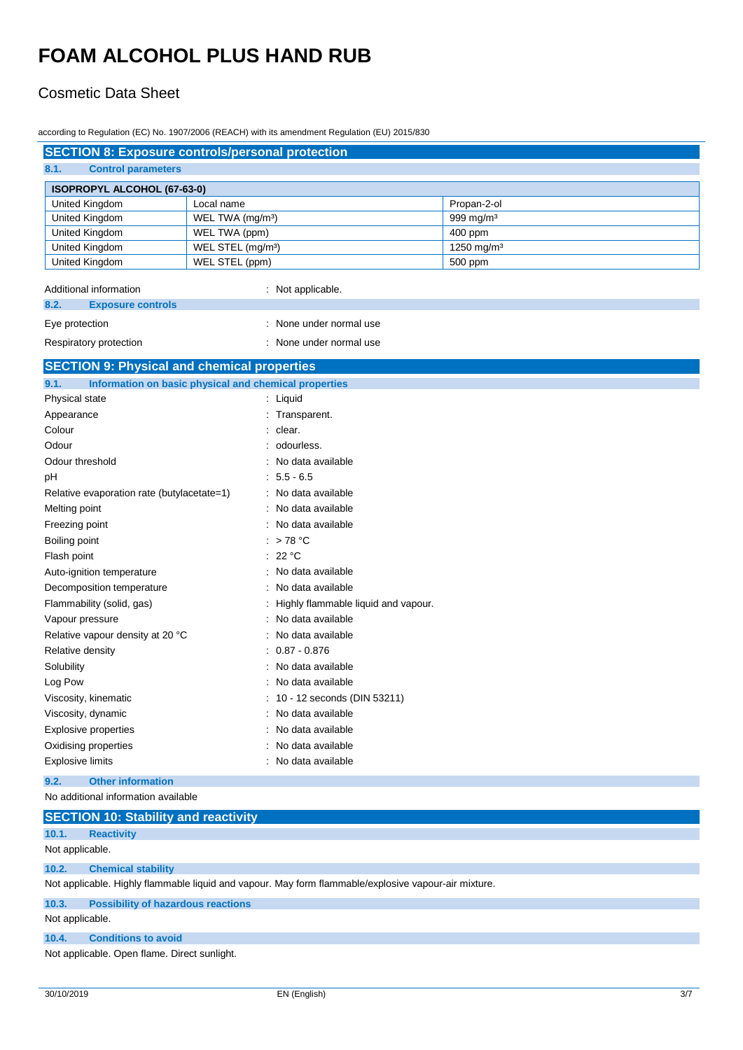### Cosmetic Data Sheet

according to Regulation (EC) No. 1907/2006 (REACH) with its amendment Regulation (EU) 2015/830

|                                                    | $\frac{1}{2}$                                                                                        |                        |  |
|----------------------------------------------------|------------------------------------------------------------------------------------------------------|------------------------|--|
|                                                    | <b>SECTION 8: Exposure controls/personal protection</b>                                              |                        |  |
| 8.1.<br><b>Control parameters</b>                  |                                                                                                      |                        |  |
| ISOPROPYL ALCOHOL (67-63-0)                        |                                                                                                      |                        |  |
| United Kingdom                                     | Local name<br>Propan-2-ol                                                                            |                        |  |
| United Kingdom                                     | WEL TWA (mg/m <sup>3</sup> )                                                                         | 999 mg/m <sup>3</sup>  |  |
| United Kingdom                                     | WEL TWA (ppm)                                                                                        | 400 ppm                |  |
| United Kingdom                                     | WEL STEL (mg/m <sup>3</sup> )                                                                        | 1250 mg/m <sup>3</sup> |  |
| United Kingdom                                     | WEL STEL (ppm)                                                                                       | 500 ppm                |  |
| Additional information                             | : Not applicable.                                                                                    |                        |  |
| 8.2.<br><b>Exposure controls</b>                   |                                                                                                      |                        |  |
| Eye protection                                     | None under normal use                                                                                |                        |  |
| Respiratory protection                             | None under normal use                                                                                |                        |  |
| <b>SECTION 9: Physical and chemical properties</b> |                                                                                                      |                        |  |
| 9.1.                                               | Information on basic physical and chemical properties                                                |                        |  |
| Physical state                                     | : Liquid                                                                                             |                        |  |
| Appearance                                         | Transparent.                                                                                         |                        |  |
| Colour                                             | clear.                                                                                               |                        |  |
| Odour                                              | odourless.                                                                                           |                        |  |
| Odour threshold                                    | No data available                                                                                    |                        |  |
| рH                                                 | $5.5 - 6.5$                                                                                          |                        |  |
| Relative evaporation rate (butylacetate=1)         | : No data available                                                                                  |                        |  |
| Melting point                                      | : No data available                                                                                  |                        |  |
| Freezing point                                     | No data available                                                                                    |                        |  |
| Boiling point                                      | > 78 °C                                                                                              |                        |  |
| Flash point                                        | 22 °C                                                                                                |                        |  |
| Auto-ignition temperature                          | No data available                                                                                    |                        |  |
| Decomposition temperature                          | No data available                                                                                    |                        |  |
| Flammability (solid, gas)                          | Highly flammable liquid and vapour.                                                                  |                        |  |
| Vapour pressure                                    | No data available                                                                                    |                        |  |
| Relative vapour density at 20 °C                   | No data available                                                                                    |                        |  |
|                                                    |                                                                                                      |                        |  |
| Relative density                                   | $0.87 - 0.876$                                                                                       |                        |  |
| Solubility                                         | No data available                                                                                    |                        |  |
| Log Pow                                            | No data available                                                                                    |                        |  |
| Viscosity, kinematic                               | 10 - 12 seconds (DIN 53211)                                                                          |                        |  |
| Viscosity, dynamic                                 | No data available                                                                                    |                        |  |
| <b>Explosive properties</b>                        | No data available                                                                                    |                        |  |
| Oxidising properties<br><b>Explosive limits</b>    | No data available<br>No data available                                                               |                        |  |
| <b>Other information</b><br>9.2.                   |                                                                                                      |                        |  |
| No additional information available                |                                                                                                      |                        |  |
| <b>SECTION 10: Stability and reactivity</b>        |                                                                                                      |                        |  |
| 10.1.<br><b>Reactivity</b>                         |                                                                                                      |                        |  |
| Not applicable.                                    |                                                                                                      |                        |  |
| 10.2.<br><b>Chemical stability</b>                 |                                                                                                      |                        |  |
|                                                    | Not applicable. Highly flammable liquid and vapour. May form flammable/explosive vapour-air mixture. |                        |  |
| 10.3.<br><b>Possibility of hazardous reactions</b> |                                                                                                      |                        |  |
| Not applicable.                                    |                                                                                                      |                        |  |

**10.4. Conditions to avoid**

Not applicable. Open flame. Direct sunlight.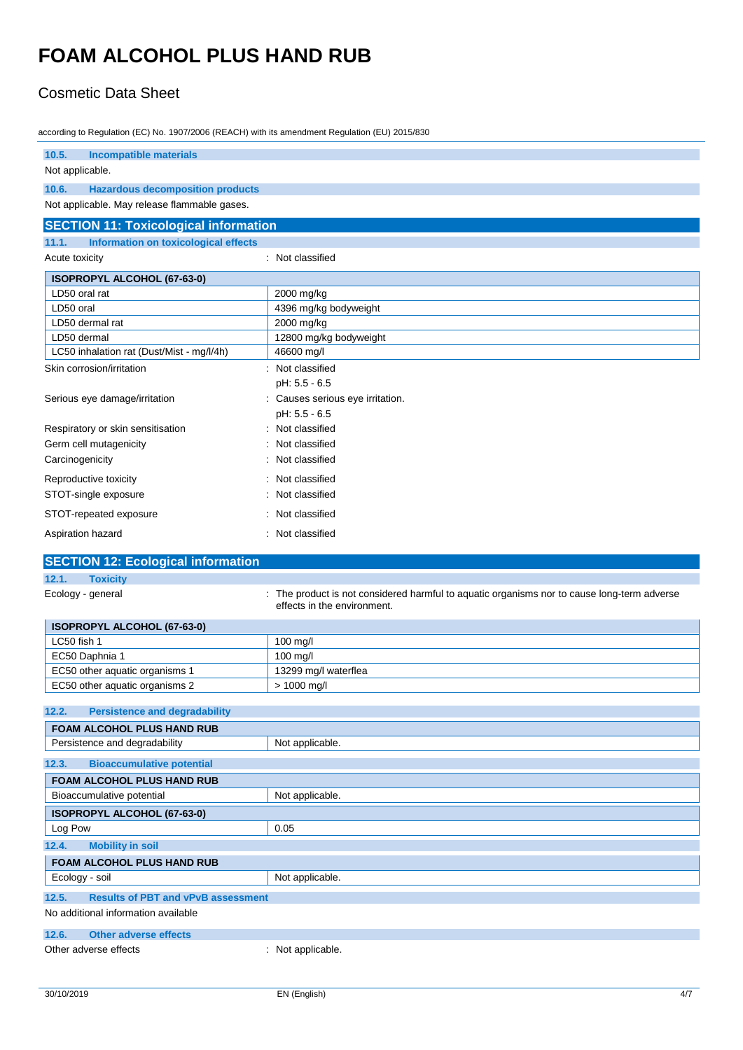### Cosmetic Data Sheet

according to Regulation (EC) No. 1907/2006 (REACH) with its amendment Regulation (EU) 2015/830

| 10.5.<br><b>Incompatible materials</b>             |                                                                                                                          |
|----------------------------------------------------|--------------------------------------------------------------------------------------------------------------------------|
| Not applicable.                                    |                                                                                                                          |
| 10.6.<br><b>Hazardous decomposition products</b>   |                                                                                                                          |
| Not applicable. May release flammable gases.       |                                                                                                                          |
| <b>SECTION 11: Toxicological information</b>       |                                                                                                                          |
| 11.1.<br>Information on toxicological effects      |                                                                                                                          |
| Acute toxicity                                     | : Not classified                                                                                                         |
|                                                    |                                                                                                                          |
| ISOPROPYL ALCOHOL (67-63-0)                        |                                                                                                                          |
| LD50 oral rat                                      | 2000 mg/kg                                                                                                               |
| LD50 oral                                          | 4396 mg/kg bodyweight                                                                                                    |
| LD50 dermal rat<br>LD50 dermal                     | 2000 mg/kg                                                                                                               |
| LC50 inhalation rat (Dust/Mist - mg/l/4h)          | 12800 mg/kg bodyweight<br>46600 mg/l                                                                                     |
|                                                    |                                                                                                                          |
| Skin corrosion/irritation                          | Not classified                                                                                                           |
|                                                    | pH: 5.5 - 6.5                                                                                                            |
| Serious eye damage/irritation                      | Causes serious eye irritation.                                                                                           |
|                                                    | pH: 5.5 - 6.5                                                                                                            |
| Respiratory or skin sensitisation                  | Not classified                                                                                                           |
| Germ cell mutagenicity                             | Not classified                                                                                                           |
| Carcinogenicity                                    | Not classified                                                                                                           |
| Reproductive toxicity                              | Not classified                                                                                                           |
| STOT-single exposure                               | Not classified                                                                                                           |
| STOT-repeated exposure                             | Not classified                                                                                                           |
| Aspiration hazard                                  | Not classified                                                                                                           |
|                                                    |                                                                                                                          |
|                                                    |                                                                                                                          |
| <b>SECTION 12: Ecological information</b>          |                                                                                                                          |
| 12.1.<br><b>Toxicity</b>                           |                                                                                                                          |
| Ecology - general                                  | The product is not considered harmful to aquatic organisms nor to cause long-term adverse<br>effects in the environment. |
|                                                    |                                                                                                                          |
| ISOPROPYL ALCOHOL (67-63-0)<br>LC50 fish 1         | 100 mg/l                                                                                                                 |
| EC50 Daphnia 1                                     | $100$ mg/l                                                                                                               |
| EC50 other aquatic organisms 1                     | 13299 mg/l waterflea                                                                                                     |
| EC50 other aquatic organisms 2                     | > 1000 mg/l                                                                                                              |
|                                                    |                                                                                                                          |
| <b>Persistence and degradability</b><br>12.2.      |                                                                                                                          |
| FOAM ALCOHOL PLUS HAND RUB                         |                                                                                                                          |
| Persistence and degradability                      | Not applicable.                                                                                                          |
| 12.3.<br><b>Bioaccumulative potential</b>          |                                                                                                                          |
| <b>FOAM ALCOHOL PLUS HAND RUB</b>                  |                                                                                                                          |
| Bioaccumulative potential                          | Not applicable.                                                                                                          |
|                                                    |                                                                                                                          |
| ISOPROPYL ALCOHOL (67-63-0)<br>Log Pow             | 0.05                                                                                                                     |
|                                                    |                                                                                                                          |
| 12.4.<br><b>Mobility in soil</b>                   |                                                                                                                          |
| <b>FOAM ALCOHOL PLUS HAND RUB</b>                  |                                                                                                                          |
| Ecology - soil                                     | Not applicable.                                                                                                          |
| <b>Results of PBT and vPvB assessment</b><br>12.5. |                                                                                                                          |
| No additional information available                |                                                                                                                          |
| <b>Other adverse effects</b><br>12.6.              |                                                                                                                          |
| Other adverse effects                              | : Not applicable.                                                                                                        |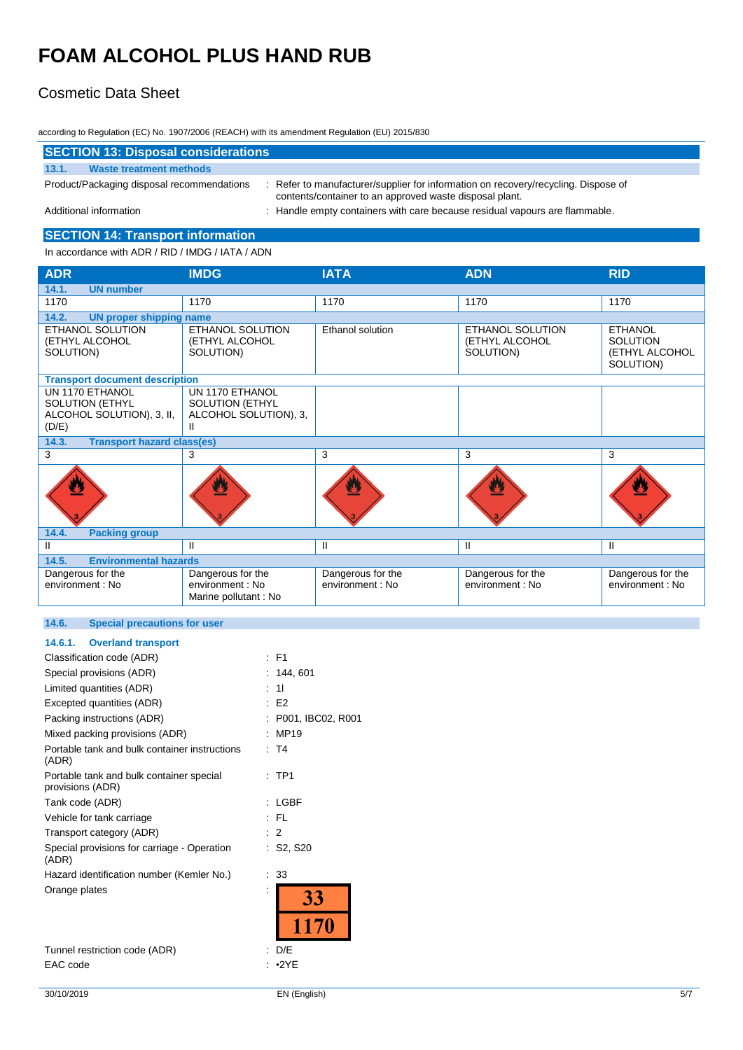### Cosmetic Data Sheet

according to Regulation (EC) No. 1907/2006 (REACH) with its amendment Regulation (EU) 2015/830

| <b>SECTION 13: Disposal considerations</b> |                                                                                                                                             |
|--------------------------------------------|---------------------------------------------------------------------------------------------------------------------------------------------|
| <b>Waste treatment methods</b><br>13.1.    |                                                                                                                                             |
| Product/Packaging disposal recommendations | Refer to manufacturer/supplier for information on recovery/recycling. Dispose of<br>contents/container to an approved waste disposal plant. |
| Additional information                     | : Handle empty containers with care because residual vapours are flammable.                                                                 |
| <b>SECTION 14: Transport information</b>   |                                                                                                                                             |

#### In accordance with ADR / RID / IMDG / IATA / ADN

| <b>ADR</b>                                                                      | <b>IMDG</b>                                                             | <b>IATA</b>                           | <b>ADN</b>                                             | <b>RID</b>                                                       |
|---------------------------------------------------------------------------------|-------------------------------------------------------------------------|---------------------------------------|--------------------------------------------------------|------------------------------------------------------------------|
| 14.1.<br><b>UN number</b>                                                       |                                                                         |                                       |                                                        |                                                                  |
| 1170                                                                            | 1170                                                                    | 1170                                  | 1170                                                   | 1170                                                             |
| 14.2.<br><b>UN proper shipping name</b>                                         |                                                                         |                                       |                                                        |                                                                  |
| <b>ETHANOL SOLUTION</b><br>(ETHYL ALCOHOL<br>SOLUTION)                          | ETHANOL SOLUTION<br>(ETHYL ALCOHOL<br>SOLUTION)                         | Ethanol solution                      | <b>ETHANOL SOLUTION</b><br>(ETHYL ALCOHOL<br>SOLUTION) | <b>ETHANOL</b><br><b>SOLUTION</b><br>(ETHYL ALCOHOL<br>SOLUTION) |
| <b>Transport document description</b>                                           |                                                                         |                                       |                                                        |                                                                  |
| UN 1170 ETHANOL<br><b>SOLUTION (ETHYL</b><br>ALCOHOL SOLUTION), 3, II,<br>(D/E) | UN 1170 ETHANOL<br><b>SOLUTION (ETHYL</b><br>ALCOHOL SOLUTION), 3,<br>ш |                                       |                                                        |                                                                  |
| <b>Transport hazard class(es)</b><br>14.3.                                      |                                                                         |                                       |                                                        |                                                                  |
| 3                                                                               | 3                                                                       | 3                                     | 3                                                      | 3                                                                |
| U                                                                               |                                                                         |                                       |                                                        |                                                                  |
| <b>Packing group</b><br>14.4.                                                   |                                                                         |                                       |                                                        |                                                                  |
| Ш                                                                               | Ш                                                                       | $\mathbf{H}$                          | $\mathbf{H}$                                           | Ш                                                                |
| <b>Environmental hazards</b><br>14.5.                                           |                                                                         |                                       |                                                        |                                                                  |
| Dangerous for the<br>environment: No                                            | Dangerous for the<br>environment : No<br>Marine pollutant : No          | Dangerous for the<br>environment : No | Dangerous for the<br>environment : No                  | Dangerous for the<br>environment : No                            |

#### **14.6. Special precautions for user**

| 14.6.1.<br><b>Overland transport</b>                         |                         |
|--------------------------------------------------------------|-------------------------|
| Classification code (ADR)                                    | : F1                    |
| Special provisions (ADR)                                     | 144, 601                |
| Limited quantities (ADR)                                     | 11                      |
| Excepted quantities (ADR)                                    | E2                      |
| Packing instructions (ADR)                                   | P001, IBC02, R001       |
| Mixed packing provisions (ADR)                               | MP19                    |
| Portable tank and bulk container instructions<br>(ADR)       | : T4                    |
| Portable tank and bulk container special<br>provisions (ADR) | : TP1                   |
| Tank code (ADR)                                              | : LGBF                  |
| Vehicle for tank carriage                                    | FL                      |
| Transport category (ADR)                                     | 2                       |
| Special provisions for carriage - Operation<br>(ADR)         | : S2, S20               |
| Hazard identification number (Kemler No.)                    | : 33                    |
| Orange plates                                                | 33                      |
|                                                              | 1170                    |
| Tunnel restriction code (ADR)                                | D/E                     |
| EAC code                                                     | $\cdot$ <sub>2</sub> YE |
|                                                              |                         |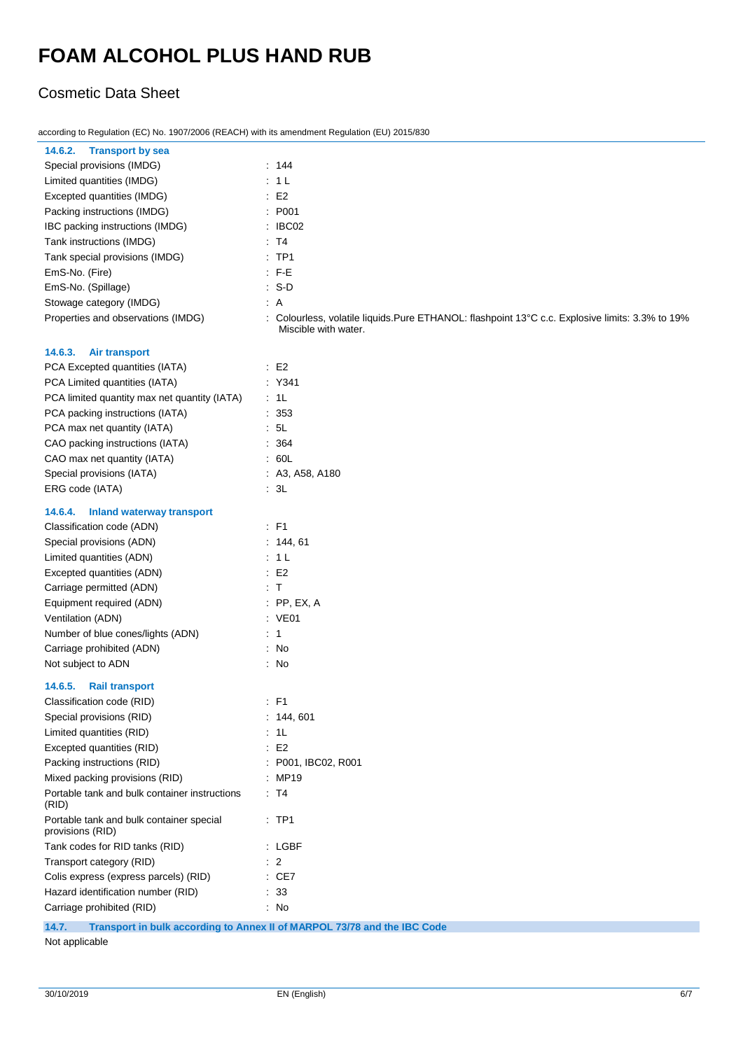### Cosmetic Data Sheet

| <b>Transport by sea</b><br>14.6.2.                           |                                                                                                                         |
|--------------------------------------------------------------|-------------------------------------------------------------------------------------------------------------------------|
| Special provisions (IMDG)                                    | : 144                                                                                                                   |
| Limited quantities (IMDG)                                    | : 1 L                                                                                                                   |
| Excepted quantities (IMDG)                                   | E2                                                                                                                      |
| Packing instructions (IMDG)                                  | : P001                                                                                                                  |
| IBC packing instructions (IMDG)                              | : IBCO2                                                                                                                 |
| Tank instructions (IMDG)                                     | : T4                                                                                                                    |
| Tank special provisions (IMDG)                               | $:$ TP1                                                                                                                 |
| EmS-No. (Fire)                                               | $\therefore$ F-E                                                                                                        |
| EmS-No. (Spillage)                                           | $: S-D$                                                                                                                 |
| Stowage category (IMDG)                                      | : A                                                                                                                     |
| Properties and observations (IMDG)                           | : Colourless, volatile liquids.Pure ETHANOL: flashpoint 13°C c.c. Explosive limits: 3.3% to 19%<br>Miscible with water. |
| 14.6.3.<br><b>Air transport</b>                              |                                                                                                                         |
| PCA Excepted quantities (IATA)                               | $\therefore$ E2                                                                                                         |
| PCA Limited quantities (IATA)                                | : Y341                                                                                                                  |
| PCA limited quantity max net quantity (IATA)                 | : 1L                                                                                                                    |
| PCA packing instructions (IATA)                              | $\therefore$ 353                                                                                                        |
| PCA max net quantity (IATA)                                  | : 5L                                                                                                                    |
| CAO packing instructions (IATA)                              | : 364                                                                                                                   |
| CAO max net quantity (IATA)                                  | .60L                                                                                                                    |
| Special provisions (IATA)                                    | : A3, A58, A180                                                                                                         |
| ERG code (IATA)                                              | : 3L                                                                                                                    |
| 14.6.4. Inland waterway transport                            |                                                                                                                         |
| Classification code (ADN)                                    | $\therefore$ F1                                                                                                         |
| Special provisions (ADN)                                     | : 144, 61                                                                                                               |
| Limited quantities (ADN)                                     | : 1 L                                                                                                                   |
| Excepted quantities (ADN)                                    | $\therefore$ E2                                                                                                         |
| Carriage permitted (ADN)                                     | : T                                                                                                                     |
| Equipment required (ADN)                                     | $:$ PP, EX, A                                                                                                           |
| Ventilation (ADN)                                            | : VE01                                                                                                                  |
| Number of blue cones/lights (ADN)                            | $\therefore$ 1                                                                                                          |
| Carriage prohibited (ADN)                                    | $\therefore$ No                                                                                                         |
| Not subject to ADN                                           | : No                                                                                                                    |
| <b>Rail transport</b><br>14.6.5.                             |                                                                                                                         |
| Classification code (RID)                                    | $\therefore$ F1                                                                                                         |
| Special provisions (RID)                                     | : 144, 601                                                                                                              |
| Limited quantities (RID)                                     | 1L                                                                                                                      |
| Excepted quantities (RID)                                    | E <sub>2</sub>                                                                                                          |
| Packing instructions (RID)                                   | P001, IBC02, R001                                                                                                       |
| Mixed packing provisions (RID)                               | : MP19                                                                                                                  |
| Portable tank and bulk container instructions<br>(RID)       | : T4                                                                                                                    |
| Portable tank and bulk container special<br>provisions (RID) | $:$ TP1                                                                                                                 |
| Tank codes for RID tanks (RID)                               | : LGBF                                                                                                                  |
| Transport category (RID)                                     | $\therefore$ 2                                                                                                          |
| Colis express (express parcels) (RID)                        | $\cdot$ CE7                                                                                                             |
| Hazard identification number (RID)                           | : 33                                                                                                                    |
| Carriage prohibited (RID)                                    | $\therefore$ No                                                                                                         |
| 14.7.                                                        | Transport in bulk according to Annex II of MARPOL 73/78 and the IBC Code                                                |

Not applicable